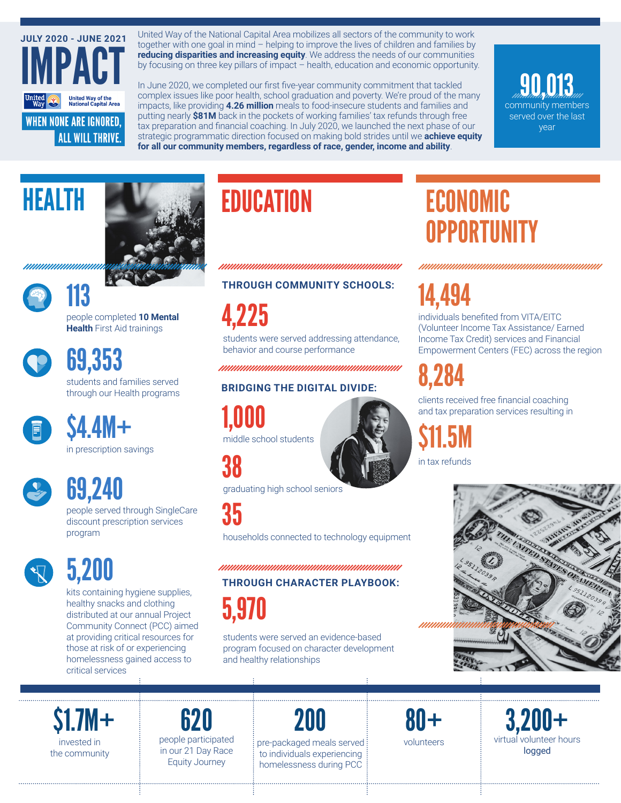

United Way of the National Capital Area mobilizes all sectors of the community to work together with one goal in mind – helping to improve the lives of children and families by **reducing disparities and increasing equity**. We address the needs of our communities by focusing on three key pillars of impact – health, education and economic opportunity.

In June 2020, we completed our first five-year community commitment that tackled complex issues like poor health, school graduation and poverty. We're proud of the many impacts, like providing **4.26 million** meals to food-insecure students and families and putting nearly **\$81M** back in the pockets of working families' tax refunds through free tax preparation and financial coaching. In July 2020, we launched the next phase of our strategic programmatic direction focused on making bold strides until we **achieve equity for all our community members, regardless of race, gender, income and ability**.

community members served over the last year 90,013





HEALTH

people completed **10 Mental Health** First Aid trainings 113

students and families served 69,353

through our Health programs

in prescription savings \$4.4M+

people served through SingleCare discount prescription services program 69,240



5,200

kits containing hygiene supplies, healthy snacks and clothing distributed at our annual Project Community Connect (PCC) aimed at providing critical resources for those at risk of or experiencing homelessness gained access to critical services

# **EDUCATION**

#### **THROUGH COMMUNITY SCHOOLS:**

4,225

students were served addressing attendance, behavior and course performance

#### **BRIDGING THE DIGITAL DIVIDE:**

## 1,000

middle school students

38

graduating high school seniors

35

households connected to technology equipment

#### 

**THROUGH CHARACTER PLAYBOOK:**

5,970

students were served an evidence-based program focused on character development and healthy relationships

### ECONOMIC **OPPORTUNITY**

14,494

individuals benefited from VITA/EITC (Volunteer Income Tax Assistance/ Earned Income Tax Credit) services and Financial Empowerment Centers (FEC) across the region

# 8,284

clients received free financial coaching and tax preparation services resulting in

\$11.5M in tax refunds



invested in the community \$1.7M+

people participated in our 21 Day Race Equity Journey 620

200

pre-packaged meals served to individuals experiencing homelessness during PCC

volunteers 80+

virtual volunteer hours logged 3,200+